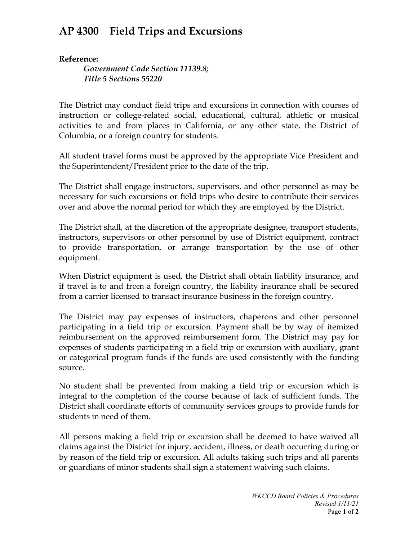## **AP 4300 Field Trips and Excursions**

**Reference:** 

*Government Code Section 11139.8; Title 5 Sections 55220*

The District may conduct field trips and excursions in connection with courses of instruction or college-related social, educational, cultural, athletic or musical activities to and from places in California, or any other state, the District of Columbia, or a foreign country for students.

All student travel forms must be approved by the appropriate Vice President and the Superintendent/President prior to the date of the trip.

The District shall engage instructors, supervisors, and other personnel as may be necessary for such excursions or field trips who desire to contribute their services over and above the normal period for which they are employed by the District.

The District shall, at the discretion of the appropriate designee, transport students, instructors, supervisors or other personnel by use of District equipment, contract to provide transportation, or arrange transportation by the use of other equipment.

When District equipment is used, the District shall obtain liability insurance, and if travel is to and from a foreign country, the liability insurance shall be secured from a carrier licensed to transact insurance business in the foreign country.

The District may pay expenses of instructors, chaperons and other personnel participating in a field trip or excursion. Payment shall be by way of itemized reimbursement on the approved reimbursement form. The District may pay for expenses of students participating in a field trip or excursion with auxiliary, grant or categorical program funds if the funds are used consistently with the funding source.

No student shall be prevented from making a field trip or excursion which is integral to the completion of the course because of lack of sufficient funds. The District shall coordinate efforts of community services groups to provide funds for students in need of them.

All persons making a field trip or excursion shall be deemed to have waived all claims against the District for injury, accident, illness, or death occurring during or by reason of the field trip or excursion. All adults taking such trips and all parents or guardians of minor students shall sign a statement waiving such claims.